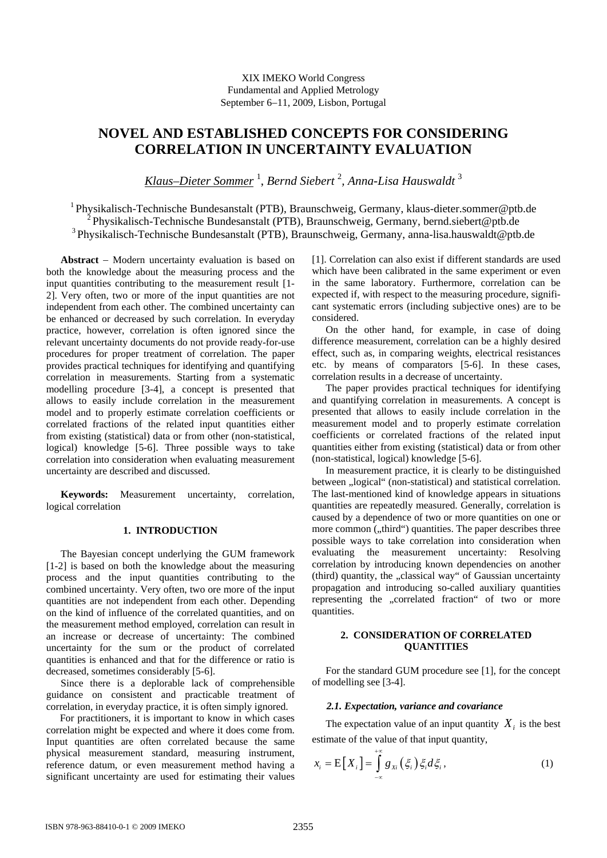XIX IMEKO World Congress Fundamental and Applied Metrology September 6−11, 2009, Lisbon, Portugal

# **NOVEL AND ESTABLISHED CONCEPTS FOR CONSIDERING CORRELATION IN UNCERTAINTY EVALUATION**

*Klaus–Dieter Sommer* <sup>1</sup> , *Bernd Siebert* <sup>2</sup> *, Anna-Lisa Hauswaldt* <sup>3</sup>

1 Physikalisch-Technische Bundesanstalt (PTB), Braunschweig, Germany, klaus-dieter.sommer@ptb.de <sup>2</sup> Physikalisch-Technische Bundesanstalt (PTB), Braunschweig, Germany, bernd.siebert@ptb.de <sup>3</sup> Physikalisch-Technische Bundesanstalt (PTB), Braunschweig, Germany, anna-lisa.hauswaldt@ptb.de

**Abstract** − Modern uncertainty evaluation is based on both the knowledge about the measuring process and the input quantities contributing to the measurement result [1- 2]. Very often, two or more of the input quantities are not independent from each other. The combined uncertainty can be enhanced or decreased by such correlation. In everyday practice, however, correlation is often ignored since the relevant uncertainty documents do not provide ready-for-use procedures for proper treatment of correlation. The paper provides practical techniques for identifying and quantifying correlation in measurements. Starting from a systematic modelling procedure [3-4], a concept is presented that allows to easily include correlation in the measurement model and to properly estimate correlation coefficients or correlated fractions of the related input quantities either from existing (statistical) data or from other (non-statistical, logical) knowledge [5-6]. Three possible ways to take correlation into consideration when evaluating measurement uncertainty are described and discussed.

**Keywords:** Measurement uncertainty, correlation, logical correlation

# **1. INTRODUCTION**

The Bayesian concept underlying the GUM framework [1-2] is based on both the knowledge about the measuring process and the input quantities contributing to the combined uncertainty. Very often, two ore more of the input quantities are not independent from each other. Depending on the kind of influence of the correlated quantities, and on the measurement method employed, correlation can result in an increase or decrease of uncertainty: The combined uncertainty for the sum or the product of correlated quantities is enhanced and that for the difference or ratio is decreased, sometimes considerably [5-6].

Since there is a deplorable lack of comprehensible guidance on consistent and practicable treatment of correlation, in everyday practice, it is often simply ignored.

For practitioners, it is important to know in which cases correlation might be expected and where it does come from. Input quantities are often correlated because the same physical measurement standard, measuring instrument, reference datum, or even measurement method having a significant uncertainty are used for estimating their values

[1]. Correlation can also exist if different standards are used which have been calibrated in the same experiment or even in the same laboratory. Furthermore, correlation can be expected if, with respect to the measuring procedure, significant systematic errors (including subjective ones) are to be considered.

On the other hand, for example, in case of doing difference measurement, correlation can be a highly desired effect, such as, in comparing weights, electrical resistances etc. by means of comparators [5-6]. In these cases, correlation results in a decrease of uncertainty.

The paper provides practical techniques for identifying and quantifying correlation in measurements. A concept is presented that allows to easily include correlation in the measurement model and to properly estimate correlation coefficients or correlated fractions of the related input quantities either from existing (statistical) data or from other (non-statistical, logical) knowledge [5-6].

In measurement practice, it is clearly to be distinguished between "logical" (non-statistical) and statistical correlation. The last-mentioned kind of knowledge appears in situations quantities are repeatedly measured. Generally, correlation is caused by a dependence of two or more quantities on one or more common ("third") quantities. The paper describes three possible ways to take correlation into consideration when evaluating the measurement uncertainty: Resolving correlation by introducing known dependencies on another (third) quantity, the "classical way" of Gaussian uncertainty propagation and introducing so-called auxiliary quantities representing the "correlated fraction" of two or more quantities.

# **2. CONSIDERATION OF CORRELATED QUANTITIES**

For the standard GUM procedure see [1], for the concept of modelling see [3-4].

## *2.1. Expectation, variance and covariance*

The expectation value of an input quantity  $X_i$  is the best estimate of the value of that input quantity,

$$
x_i = \mathbf{E}\big[X_i\big] = \int_{-\infty}^{+\infty} g_{xi}\left(\xi_i\right) \xi_i d\xi_i, \tag{1}
$$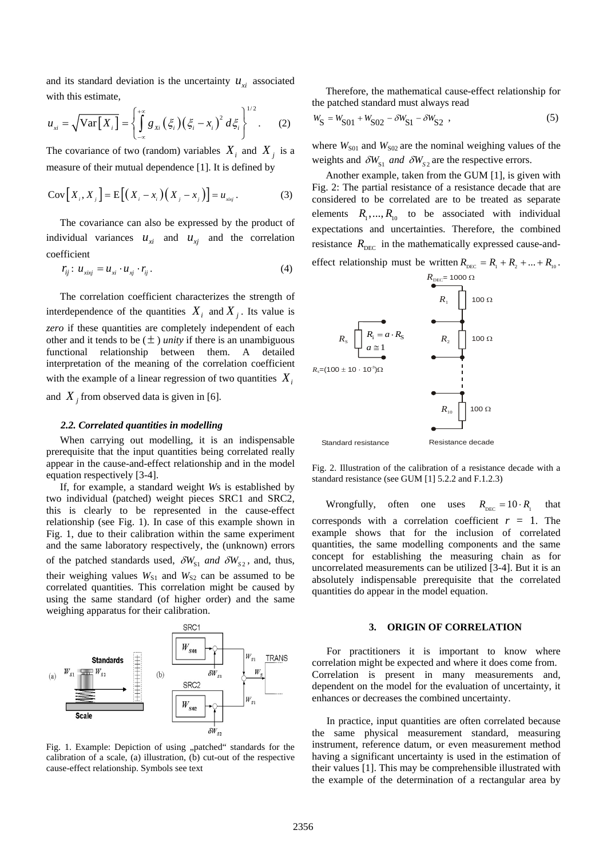and its standard deviation is the uncertainty  $u_{xi}$  associated with this estimate,

$$
u_{xi} = \sqrt{\text{Var}\big[X_i\big]} = \left\{\int_{-\infty}^{+\infty} g_{xi}\left(\xi_i\right) \left(\xi_i - x_i\right)^2 d\xi_i\right\}^{1/2}.
$$
 (2)

The covariance of two (random) variables  $X_i$  and  $X_j$  is a measure of their mutual dependence [1]. It is defined by

$$
Cov[X_i, X_j] = E[(X_i - x_i)(X_j - x_j)] = u_{\text{axy}}.
$$
 (3)

The covariance can also be expressed by the product of individual variances  $u_{xi}$  and  $u_{xi}$  and the correlation coefficient

$$
r_{ij}: u_{\text{xiv}} = u_{\text{xi}} \cdot u_{\text{xi}} \cdot r_{ij}. \tag{4}
$$

The correlation coefficient characterizes the strength of interdependence of the quantities  $X_i$  and  $X_j$ . Its value is *zero* if these quantities are completely independent of each other and it tends to be  $(\pm)$  *unity* if there is an unambiguous functional relationship between them. A detailed interpretation of the meaning of the correlation coefficient with the example of a linear regression of two quantities  $X_i$ and  $X_i$  from observed data is given in [6].

#### *2.2. Correlated quantities in modelling*

When carrying out modelling, it is an indispensable prerequisite that the input quantities being correlated really appear in the cause-and-effect relationship and in the model equation respectively [3-4].

If, for example, a standard weight *W*s is established by two individual (patched) weight pieces SRC1 and SRC2, this is clearly to be represented in the cause-effect relationship (see Fig. 1). In case of this example shown in Fig. 1, due to their calibration within the same experiment and the same laboratory respectively, the (unknown) errors of the patched standards used,  $\delta W_{S1}$  and  $\delta W_{S2}$ , and, thus, their weighing values  $W_{S1}$  and  $W_{S2}$  can be assumed to be correlated quantities. This correlation might be caused by using the same standard (of higher order) and the same weighing apparatus for their calibration.



Fig. 1. Example: Depiction of using "patched" standards for the calibration of a scale, (a) illustration, (b) cut-out of the respective cause-effect relationship. Symbols see text

Therefore, the mathematical cause-effect relationship for the patched standard must always read

$$
W_{\rm S} = W_{\rm S01} + W_{\rm S02} - \delta W_{\rm S1} - \delta W_{\rm S2} \tag{5}
$$

where  $W<sub>S01</sub>$  and  $W<sub>S02</sub>$  are the nominal weighing values of the weights and  $\delta W_{S1}$  *and*  $\delta W_{S2}$  are the respective errors.

Another example, taken from the GUM [1], is given with Fig. 2: The partial resistance of a resistance decade that are considered to be correlated are to be treated as separate elements  $R_1, ..., R_{10}$  to be associated with individual expectations and uncertainties. Therefore, the combined resistance  $R_{\text{DEC}}$  in the mathematically expressed cause-and-



Fig. 2. Illustration of the calibration of a resistance decade with a standard resistance (see GUM [1] 5.2.2 and F.1.2.3)

Wrongfully, often one uses  $R_{\text{Dec}} = 10 \cdot R_1$  that corresponds with a correlation coefficient  $r = 1$ . The example shows that for the inclusion of correlated quantities, the same modelling components and the same concept for establishing the measuring chain as for uncorrelated measurements can be utilized [3-4]. But it is an absolutely indispensable prerequisite that the correlated quantities do appear in the model equation.

#### **3. ORIGIN OF CORRELATION**

 For practitioners it is important to know where correlation might be expected and where it does come from. Correlation is present in many measurements and, dependent on the model for the evaluation of uncertainty, it enhances or decreases the combined uncertainty.

 In practice, input quantities are often correlated because the same physical measurement standard, measuring instrument, reference datum, or even measurement method having a significant uncertainty is used in the estimation of their values [1]. This may be comprehensible illustrated with the example of the determination of a rectangular area by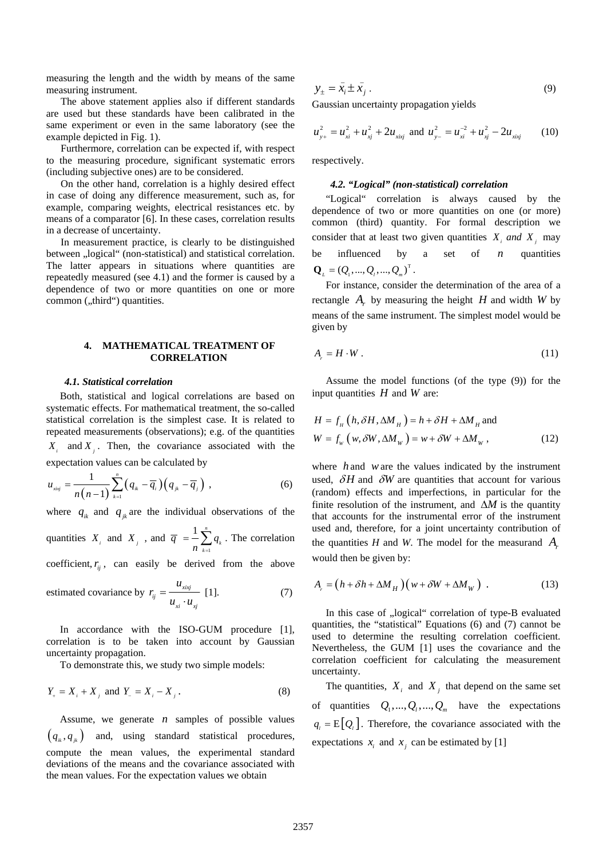measuring the length and the width by means of the same measuring instrument.

 The above statement applies also if different standards are used but these standards have been calibrated in the same experiment or even in the same laboratory (see the example depicted in Fig. 1).

 Furthermore, correlation can be expected if, with respect to the measuring procedure, significant systematic errors (including subjective ones) are to be considered.

 On the other hand, correlation is a highly desired effect in case of doing any difference measurement, such as, for example, comparing weights, electrical resistances etc. by means of a comparator [6]. In these cases, correlation results in a decrease of uncertainty.

 In measurement practice, is clearly to be distinguished between "logical" (non-statistical) and statistical correlation. The latter appears in situations where quantities are repeatedly measured (see 4.1) and the former is caused by a dependence of two or more quantities on one or more common ("third") quantities.

# **4. MATHEMATICAL TREATMENT OF CORRELATION**

#### *4.1. Statistical correlation*

Both, statistical and logical correlations are based on systematic effects. For mathematical treatment, the so-called statistical correlation is the simplest case. It is related to repeated measurements (observations); e.g. of the quantities  $X_i$  and  $X_i$ . Then, the covariance associated with the expectation values can be calculated by

$$
u_{\rm xixj} = \frac{1}{n(n-1)} \sum_{k=1}^{n} \left( q_{ik} - \overline{q}_{i} \right) \left( q_{jk} - \overline{q}_{j} \right) , \tag{6}
$$

where  $q_{ik}$  and  $q_{jk}$  are the individual observations of the

quantities  $X_i$  and  $X_j$ , and  $\overline{q} = \frac{1}{n} \sum_{k=1}^{n}$  $1 \rightleftharpoons$  $\overline{q} = \frac{1}{n} \sum_{k=1}^{n} q_k$ . The correlation

coefficient,  $r_i$ , can easily be derived from the above

estimated covariance by 
$$
r_{ij} = \frac{u_{xixj}}{u_{xi} \cdot u_{xj}}
$$
 [1]. (7)

In accordance with the ISO-GUM procedure [1], correlation is to be taken into account by Gaussian uncertainty propagation.

To demonstrate this, we study two simple models:

$$
Y_{+} = X_{i} + X_{j} \text{ and } Y_{-} = X_{i} - X_{j}. \tag{8}
$$

Assume, we generate *n* samples of possible values  $(q_{\mu}, q_{\mu})$  and, using standard statistical procedures, compute the mean values, the experimental standard deviations of the means and the covariance associated with the mean values. For the expectation values we obtain

$$
y_{\pm} = \bar{x}_i \pm \bar{x}_j \,. \tag{9}
$$

Gaussian uncertainty propagation yields

$$
u_{y+}^2 = u_{xi}^2 + u_{xj}^2 + 2u_{xixj} \text{ and } u_{y-}^2 = u_{xi}^{-2} + u_{xj}^2 - 2u_{xixj} \qquad (10)
$$

respectively.

## *4.2. "Logical" (non-statistical) correlation*

"Logical" correlation is always caused by the dependence of two or more quantities on one (or more) common (third) quantity. For formal description we consider that at least two given quantities  $X_i$  *and*  $X_j$  may be influenced by a set of  $n$  quantities  $\mathbf{Q}_{L} = (Q_1, ..., Q_i, ..., Q_m)^T$ .

For instance, consider the determination of the area of a rectangle  $A_r$  by measuring the height  $H$  and width  $W$  by means of the same instrument. The simplest model would be given by

$$
A_{r} = H \cdot W \tag{11}
$$

Assume the model functions (of the type (9)) for the input quantities *H* and *W* are:

$$
H = f_{H} \left( h, \delta H, \Delta M_{H} \right) = h + \delta H + \Delta M_{H} \text{ and}
$$
  
 
$$
W = f_{W} \left( w, \delta W, \Delta M_{W} \right) = w + \delta W + \Delta M_{W},
$$
 (12)

where *h* and *w*are the values indicated by the instrument used,  $\delta H$  and  $\delta W$  are quantities that account for various (random) effects and imperfections, in particular for the finite resolution of the instrument, and  $\Delta M$  is the quantity that accounts for the instrumental error of the instrument used and, therefore, for a joint uncertainty contribution of the quantities *H* and *W*. The model for the measurand  $A_r$ would then be given by:

$$
A_r = (h + \delta h + \Delta M_H)(w + \delta W + \Delta M_W) \tag{13}
$$

In this case of "logical" correlation of type-B evaluated quantities, the "statistical" Equations (6) and (7) cannot be used to determine the resulting correlation coefficient. Nevertheless, the GUM [1] uses the covariance and the correlation coefficient for calculating the measurement uncertainty.

The quantities,  $X_i$  and  $X_j$  that depend on the same set of quantities  $Q_1, ..., Q_n, ..., Q_m$  have the expectations  $q_i = E[Q_i]$ . Therefore, the covariance associated with the expectations  $x_i$  and  $x_j$  can be estimated by [1]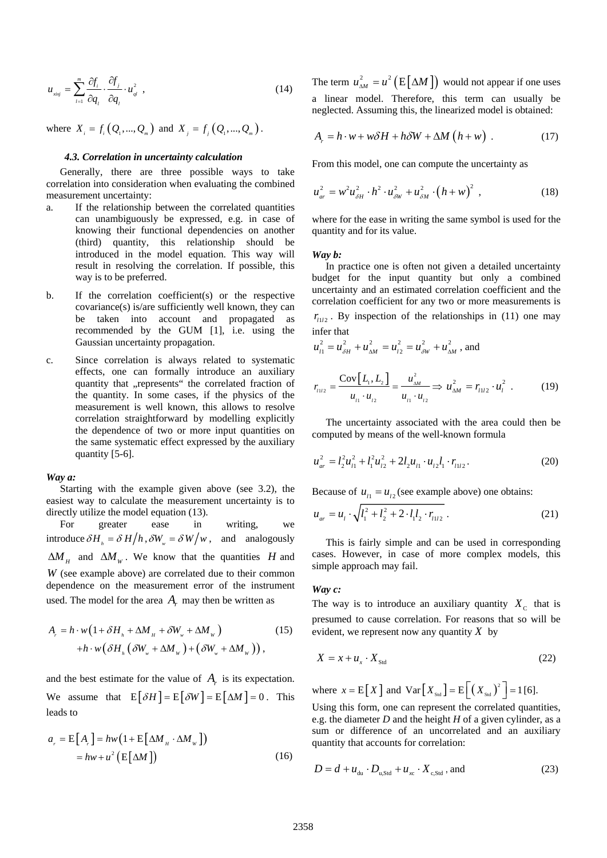$$
u_{\scriptscriptstyle xixj} = \sum_{l=1}^{m} \frac{\partial f_i}{\partial q_l} \cdot \frac{\partial f_j}{\partial q_l} \cdot u_{\scriptscriptstyle ql}^2 \tag{14}
$$

where  $X_i = f_i(Q_1, ..., Q_m)$  and  $X_i = f_i(Q_1, ..., Q_m)$ .

## *4.3. Correlation in uncertainty calculation*

Generally, there are three possible ways to take correlation into consideration when evaluating the combined measurement uncertainty:

- a. If the relationship between the correlated quantities can unambiguously be expressed, e.g. in case of knowing their functional dependencies on another (third) quantity, this relationship should be introduced in the model equation. This way will result in resolving the correlation. If possible, this way is to be preferred.
- b. If the correlation coefficient(s) or the respective covariance(s) is/are sufficiently well known, they can be taken into account and propagated as recommended by the GUM [1], i.e. using the Gaussian uncertainty propagation.
- c. Since correlation is always related to systematic effects, one can formally introduce an auxiliary quantity that "represents" the correlated fraction of the quantity. In some cases, if the physics of the measurement is well known, this allows to resolve correlation straightforward by modelling explicitly the dependence of two or more input quantities on the same systematic effect expressed by the auxiliary quantity [5-6].

### *Way a:*

Starting with the example given above (see 3.2), the easiest way to calculate the measurement uncertainty is to directly utilize the model equation (13).

For greater ease in writing, we introduce  $\delta H_h = \delta H/h$ ,  $\delta W_w = \delta W/w$ , and analogously  $\Delta M_\mu$  and  $\Delta M_w$ . We know that the quantities *H* and *W* (see example above) are correlated due to their common dependence on the measurement error of the instrument used. The model for the area  $A<sub>r</sub>$  may then be written as

$$
A_r = h \cdot w \left( 1 + \delta H_h + \Delta M_H + \delta W_w + \Delta M_W \right) \tag{15}
$$
  
+ 
$$
h \cdot w \left( \delta H_h \left( \delta W_w + \Delta M_W \right) + \left( \delta W_w + \Delta M_W \right) \right),
$$

and the best estimate for the value of  $A<sub>r</sub>$  is its expectation. We assume that  $E[\delta H] = E[\delta W] = E[\Delta M] = 0$ . This leads to

$$
a_r = E[A_r] = hw(1 + E[\Delta M_H \cdot \Delta M_w])
$$
  
= hw + u<sup>2</sup>(E[\Delta M]) (16)

The term  $u_{\scriptscriptstyle \Delta M}^2 = u^2 \left( E \left[ \Delta M \right] \right)$  would not appear if one uses a linear model. Therefore, this term can usually be neglected. Assuming this, the linearized model is obtained:

$$
A_r = h \cdot w + w \delta H + h \delta W + \Delta M \left( h + w \right) \,. \tag{17}
$$

From this model, one can compute the uncertainty as

$$
u_{ar}^{2} = w^{2} u_{\delta H}^{2} \cdot h^{2} \cdot u_{\delta W}^{2} + u_{\delta M}^{2} \cdot (h + w)^{2} , \qquad (18)
$$

where for the ease in writing the same symbol is used for the quantity and for its value.

#### *Way b:*

In practice one is often not given a detailed uncertainty budget for the input quantity but only a combined uncertainty and an estimated correlation coefficient and the correlation coefficient for any two or more measurements is  $r_{112}$ . By inspection of the relationships in (11) one may infer that

$$
u_{i1}^2 = u_{\delta H}^2 + u_{\Delta M}^2 = u_{i2}^2 = u_{\delta W}^2 + u_{\Delta M}^2
$$
, and

$$
r_{112} = \frac{\text{Cov}[L_1, L_2]}{u_1 \cdot u_{12}} = \frac{u_{\Delta M}^2}{u_1 \cdot u_{12}} \Rightarrow u_{\Delta M}^2 = r_{1112} \cdot u_1^2 \tag{19}
$$

The uncertainty associated with the area could then be computed by means of the well-known formula

$$
u_{ar}^2 = l_2^2 u_{11}^2 + l_1^2 u_{12}^2 + 2l_2 u_{11} \cdot u_{12} l_1 \cdot r_{112}.
$$
 (20)

Because of  $u_{1} = u_{12}$  (see example above) one obtains:

$$
u_{ar} = u_1 \cdot \sqrt{l_1^2 + l_2^2 + 2 \cdot l_1 l_2 \cdot r_{112}} \,. \tag{21}
$$

This is fairly simple and can be used in corresponding cases. However, in case of more complex models, this simple approach may fail.

# *Way c:*

The way is to introduce an auxiliary quantity  $X_c$  that is presumed to cause correlation. For reasons that so will be evident, we represent now any quantity *X* by

$$
X = x + u_x \cdot X_{\text{Std}}
$$
 (22)

where  $x = E[X]$  and  $Var[X_{\text{Sud}}] = E[(X_{\text{Sud}})]^2 = 1$  [6].

Using this form, one can represent the correlated quantities, e.g. the diameter *D* and the height *H* of a given cylinder, as a sum or difference of an uncorrelated and an auxiliary quantity that accounts for correlation:

$$
D = d + u_{\text{du}} \cdot D_{\text{u,Std}} + u_{\text{xc}} \cdot X_{\text{c,Std}} \text{ and}
$$
 (23)